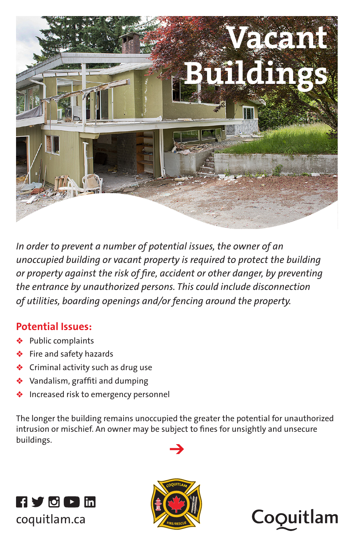

*In order to prevent a number of potential issues, the owner of an unoccupied building or vacant property is required to protect the building or property against the risk of fire, accident or other danger, by preventing the entrance by unauthorized persons. This could include disconnection of utilities, boarding openings and/or fencing around the property.* 

#### **Potential Issues:**

- Public complaints
- Fire and safety hazards
- Criminal activity such as drug use
- Vandalism, graffiti and dumping
- Increased risk to emergency personnel

The longer the building remains unoccupied the greater the potential for unauthorized intrusion or mischief. An owner may be subject to fines for unsightly and unsecure buildings.